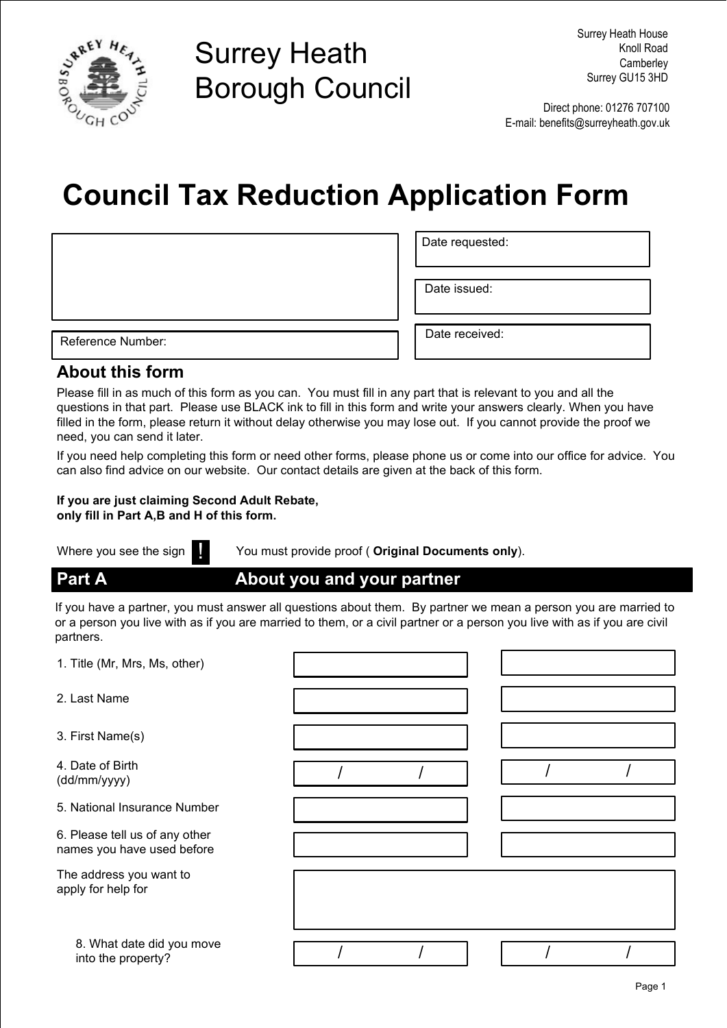

# Surrey Heath Borough Council

Direct phone: 01276 707100 E-mail: benefits@surreyheath.gov.uk

# Council Tax Reduction Application Form

Reference Number: <br>
Reference Number: <br>
Date received:

Date issued:

Date requested:

#### About this form

Please fill in as much of this form as you can. You must fill in any part that is relevant to you and all the questions in that part. Please use BLACK ink to fill in this form and write your answers clearly. When you have filled in the form, please return it without delay otherwise you may lose out. If you cannot provide the proof we need, you can send it later.

If you need help completing this form or need other forms, please phone us or come into our office for advice. You can also find advice on our website. Our contact details are given at the back of this form.

#### If you are just claiming Second Adult Rebate, only fill in Part A,B and H of this form.

Where you see the sign **in the You must provide proof ( Original Documents only**).

Part A **About you and your partner** 

If you have a partner, you must answer all questions about them. By partner we mean a person you are married to or a person you live with as if you are married to them, or a civil partner or a person you live with as if you are civil partners.

| 1. Title (Mr, Mrs, Ms, other)                                |  |  |  |
|--------------------------------------------------------------|--|--|--|
| 2. Last Name                                                 |  |  |  |
| 3. First Name(s)                                             |  |  |  |
| 4. Date of Birth<br>(dd/mm/yyyy)                             |  |  |  |
| 5. National Insurance Number                                 |  |  |  |
| 6. Please tell us of any other<br>names you have used before |  |  |  |
| The address you want to<br>apply for help for                |  |  |  |
| 8. What date did you move<br>into the property?              |  |  |  |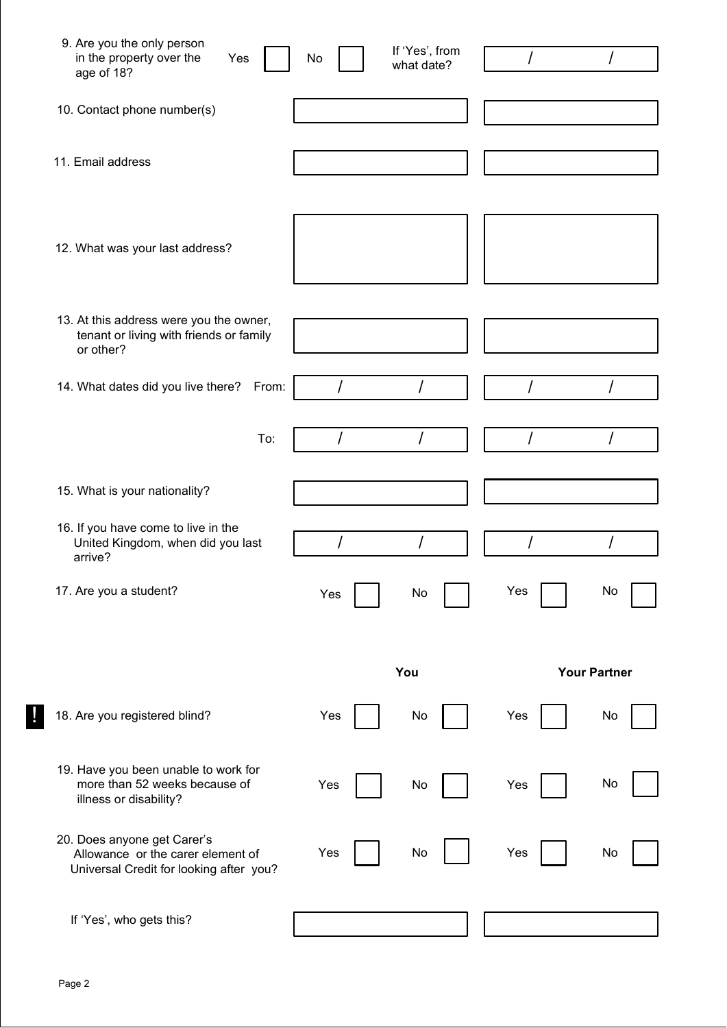| 9. Are you the only person<br>in the property over the<br>Yes<br>age of 18?                                 | No  | If 'Yes', from<br>what date? | I   |                     |
|-------------------------------------------------------------------------------------------------------------|-----|------------------------------|-----|---------------------|
| 10. Contact phone number(s)                                                                                 |     |                              |     |                     |
| 11. Email address                                                                                           |     |                              |     |                     |
| 12. What was your last address?                                                                             |     |                              |     |                     |
| 13. At this address were you the owner,<br>tenant or living with friends or family<br>or other?             |     |                              |     |                     |
| 14. What dates did you live there? From:                                                                    | I   | Ι                            |     |                     |
| To:                                                                                                         |     | I                            | I   |                     |
| 15. What is your nationality?                                                                               |     |                              |     |                     |
| 16. If you have come to live in the<br>United Kingdom, when did you last<br>arrive?                         |     | I                            |     |                     |
| 17. Are you a student?                                                                                      | Yes | No                           | Yes | No                  |
|                                                                                                             |     | You                          |     | <b>Your Partner</b> |
| 18. Are you registered blind?                                                                               | Yes | No                           | Yes | No                  |
| 19. Have you been unable to work for<br>more than 52 weeks because of<br>illness or disability?             | Yes | No                           | Yes | No                  |
| 20. Does anyone get Carer's<br>Allowance or the carer element of<br>Universal Credit for looking after you? | Yes | No                           | Yes | No                  |
| If 'Yes', who gets this?                                                                                    |     |                              |     |                     |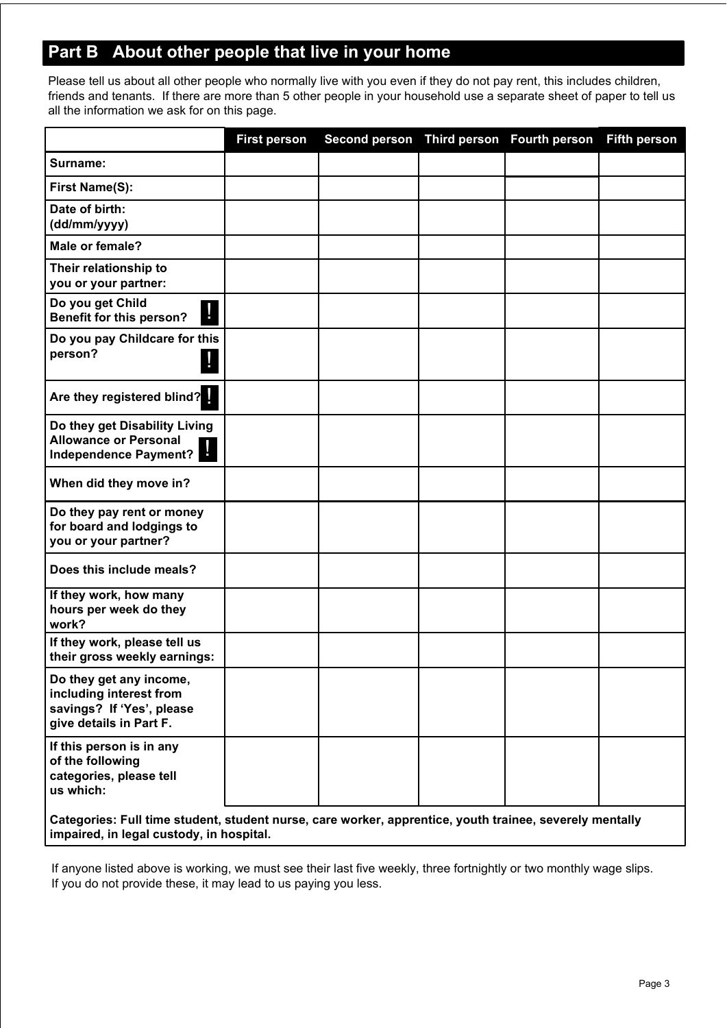## Part B About other people that live in your home

Please tell us about all other people who normally live with you even if they do not pay rent, this includes children, friends and tenants. If there are more than 5 other people in your household use a separate sheet of paper to tell us all the information we ask for on this page.

|                                                                                                            | <b>First person</b> | Second person Third person Fourth person |  |  | <b>Fifth person</b> |  |  |
|------------------------------------------------------------------------------------------------------------|---------------------|------------------------------------------|--|--|---------------------|--|--|
| Surname:                                                                                                   |                     |                                          |  |  |                     |  |  |
| First Name(S):                                                                                             |                     |                                          |  |  |                     |  |  |
| Date of birth:<br>(dd/mm/yyyy)                                                                             |                     |                                          |  |  |                     |  |  |
| Male or female?                                                                                            |                     |                                          |  |  |                     |  |  |
| Their relationship to<br>you or your partner:                                                              |                     |                                          |  |  |                     |  |  |
| Do you get Child<br>Ţ<br>Benefit for this person?                                                          |                     |                                          |  |  |                     |  |  |
| Do you pay Childcare for this<br>person?                                                                   |                     |                                          |  |  |                     |  |  |
| Are they registered blind?                                                                                 |                     |                                          |  |  |                     |  |  |
| Do they get Disability Living<br><b>Allowance or Personal</b><br>Ч<br>Independence Payment?                |                     |                                          |  |  |                     |  |  |
| When did they move in?                                                                                     |                     |                                          |  |  |                     |  |  |
| Do they pay rent or money<br>for board and lodgings to<br>you or your partner?                             |                     |                                          |  |  |                     |  |  |
| Does this include meals?                                                                                   |                     |                                          |  |  |                     |  |  |
| If they work, how many<br>hours per week do they<br>work?                                                  |                     |                                          |  |  |                     |  |  |
| If they work, please tell us<br>their gross weekly earnings:                                               |                     |                                          |  |  |                     |  |  |
| Do they get any income,<br>including interest from<br>savings? If 'Yes', please<br>give details in Part F. |                     |                                          |  |  |                     |  |  |
| If this person is in any<br>of the following<br>categories, please tell<br>us which:                       |                     |                                          |  |  |                     |  |  |
| Categories: Full time student, student nurse, care worker, apprentice, youth trainee, severely mentally    |                     |                                          |  |  |                     |  |  |

impaired, in legal custody, in hospital.

If anyone listed above is working, we must see their last five weekly, three fortnightly or two monthly wage slips. If you do not provide these, it may lead to us paying you less.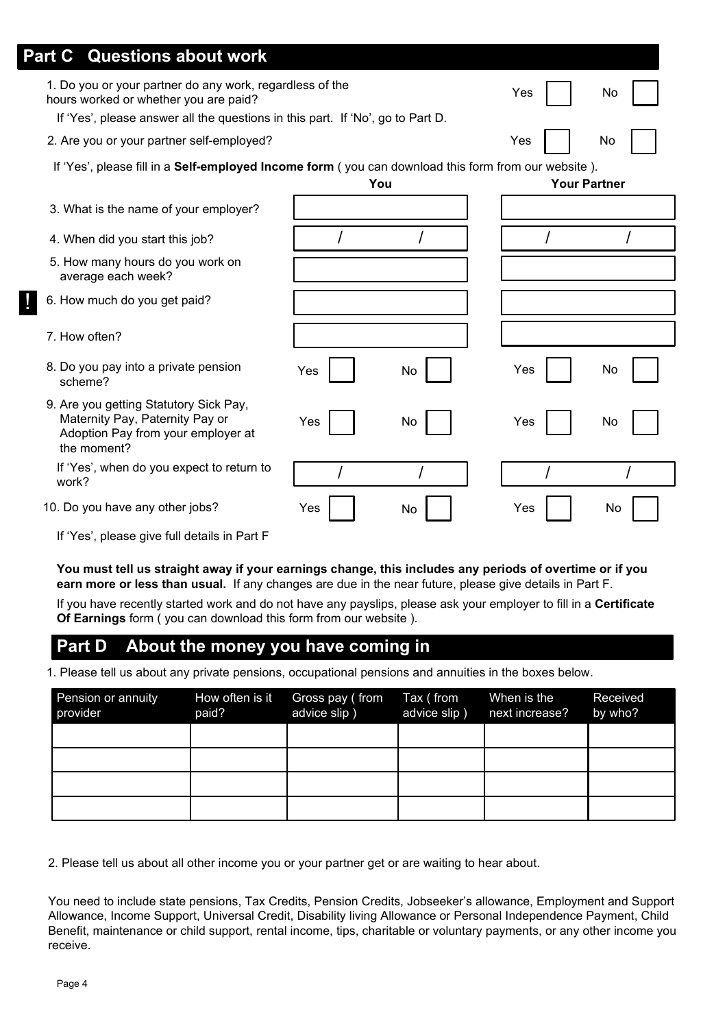| <b>Questions about work</b><br><b>Part C</b>                                                                                                                                        |     |     |     |                     |
|-------------------------------------------------------------------------------------------------------------------------------------------------------------------------------------|-----|-----|-----|---------------------|
| 1. Do you or your partner do any work, regardless of the<br>hours worked or whether you are paid?<br>If 'Yes', please answer all the questions in this part. If 'No', go to Part D. |     |     | Yes | No                  |
| 2. Are you or your partner self-employed?                                                                                                                                           |     |     | Yes | No                  |
| If 'Yes', please fill in a Self-employed Income form (you can download this form from our website).                                                                                 |     | You |     | <b>Your Partner</b> |
| 3. What is the name of your employer?                                                                                                                                               |     |     |     |                     |
| 4. When did you start this job?                                                                                                                                                     |     |     |     |                     |
| 5. How many hours do you work on<br>average each week?                                                                                                                              |     |     |     |                     |
| 6. How much do you get paid?                                                                                                                                                        |     |     |     |                     |
| 7. How often?                                                                                                                                                                       |     |     |     |                     |
| 8. Do you pay into a private pension<br>scheme?                                                                                                                                     | Yes | No  | Yes | No.                 |
| 9. Are you getting Statutory Sick Pay,<br>Maternity Pay, Paternity Pay or<br>Adoption Pay from your employer at<br>the moment?                                                      | Yes | No  | Yes | No                  |
| If 'Yes', when do you expect to return to<br>work?                                                                                                                                  |     |     |     |                     |
| 10. Do you have any other jobs?                                                                                                                                                     | Yes | No  | Yes | No                  |
| If 'Yes', please give full details in Part F                                                                                                                                        |     |     |     |                     |

You must tell us straight away if your earnings change, this includes any periods of overtime or if you earn more or less than usual. If any changes are due in the near future, please give details in Part F.

If you have recently started work and do not have any payslips, please ask your employer to fill in a Certificate Of Earnings form ( you can download this form from our website ).

#### Part D About the money you have coming in

1. Please tell us about any private pensions, occupational pensions and annuities in the boxes below.

| Pension or annuity<br>provider | How often is it<br>paid? | Gross pay (from<br>advice slip) | Tax (from<br>advice slip) | When is the<br>next increase? | Received<br>by who? |
|--------------------------------|--------------------------|---------------------------------|---------------------------|-------------------------------|---------------------|
|                                |                          |                                 |                           |                               |                     |
|                                |                          |                                 |                           |                               |                     |
|                                |                          |                                 |                           |                               |                     |
|                                |                          |                                 |                           |                               |                     |

2. Please tell us about all other income you or your partner get or are waiting to hear about.

You need to include state pensions, Tax Credits, Pension Credits, Jobseeker's allowance, Employment and Support Allowance, Income Support, Universal Credit, Disability living Allowance or Personal Independence Payment, Child Benefit, maintenance or child support, rental income, tips, charitable or voluntary payments, or any other income you receive.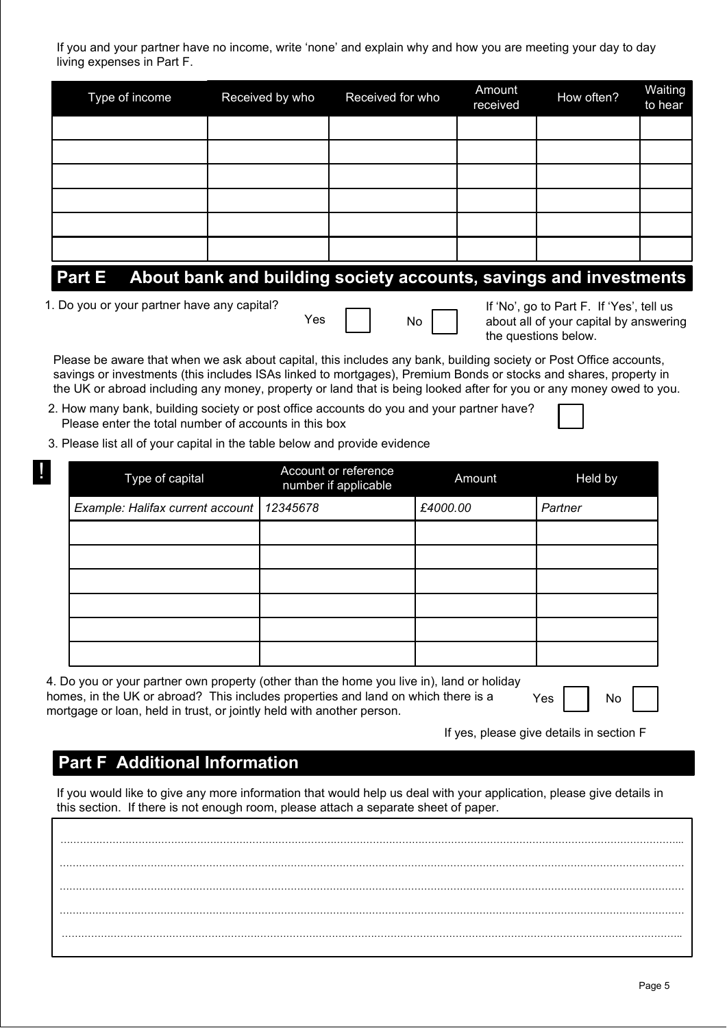If you and your partner have no income, write 'none' and explain why and how you are meeting your day to day living expenses in Part F.

| Type of income | Received by who    | Received for who | Amount<br>received | How often? | Waiting<br>to hear |
|----------------|--------------------|------------------|--------------------|------------|--------------------|
|                |                    |                  |                    |            |                    |
|                |                    |                  |                    |            |                    |
|                |                    |                  |                    |            |                    |
|                |                    |                  |                    |            |                    |
|                |                    |                  |                    |            |                    |
|                |                    |                  |                    |            |                    |
| . .<br>. .     | $\sim$<br>. .<br>. | . .              |                    | . .        | $\sim$             |

## Part E About bank and building society accounts, savings and investments

1. Do you or your partner have any capital?



If 'No', go to Part F. If 'Yes', tell us about all of your capital by answering the questions below.

Please be aware that when we ask about capital, this includes any bank, building society or Post Office accounts, savings or investments (this includes ISAs linked to mortgages), Premium Bonds or stocks and shares, property in the UK or abroad including any money, property or land that is being looked after for you or any money owed to you.

- 2. How many bank, building society or post office accounts do you and your partner have? Please enter the total number of accounts in this box
- 3. Please list all of your capital in the table below and provide evidence

| Į, | Type of capital                             | Account or reference<br>number if applicable | Amount   | Held by |
|----|---------------------------------------------|----------------------------------------------|----------|---------|
|    | Example: Halifax current account   12345678 |                                              | £4000.00 | Partner |
|    |                                             |                                              |          |         |
|    |                                             |                                              |          |         |
|    |                                             |                                              |          |         |
|    |                                             |                                              |          |         |
|    |                                             |                                              |          |         |
|    |                                             |                                              |          |         |

4. Do you or your partner own property (other than the home you live in), land or holiday homes, in the UK or abroad? This includes properties and land on which there is a mortgage or loan, held in trust, or jointly held with another person.

Yes | | No

If yes, please give details in section F

#### Part F Additional Information

If you would like to give any more information that would help us deal with your application, please give details in this section. If there is not enough room, please attach a separate sheet of paper.

FFFFFFFFFFFFFFFFFFFFFFFFFFFFFFFFFFFFFFFFFFFFFFFFFFFFFFFFFFFFFFF... FFFFFFFFFFFFFFFFFFFFFFFFFFFFFFFFFFFFFFFFFFFFFFFFFFFFFFFFFFFFFFFF FFFFFFFFFFFFFFFFFFFFFFFFFFFFFFFFFFFFFFFFFFFFFFFFFFFFFFFFFFFFFFFF FFFFFFFFFFFFFFFFFFFFFFFFFFFFFFFFFFFFFFFFFFFFFFFFFFFFFFFFFFFFFFFF FFFFFFFFFFFFFFFFFFFFFFFFFFFFFFFFFFFFFFFFFFFFFFFFFFFFFFFFFFFFFFF..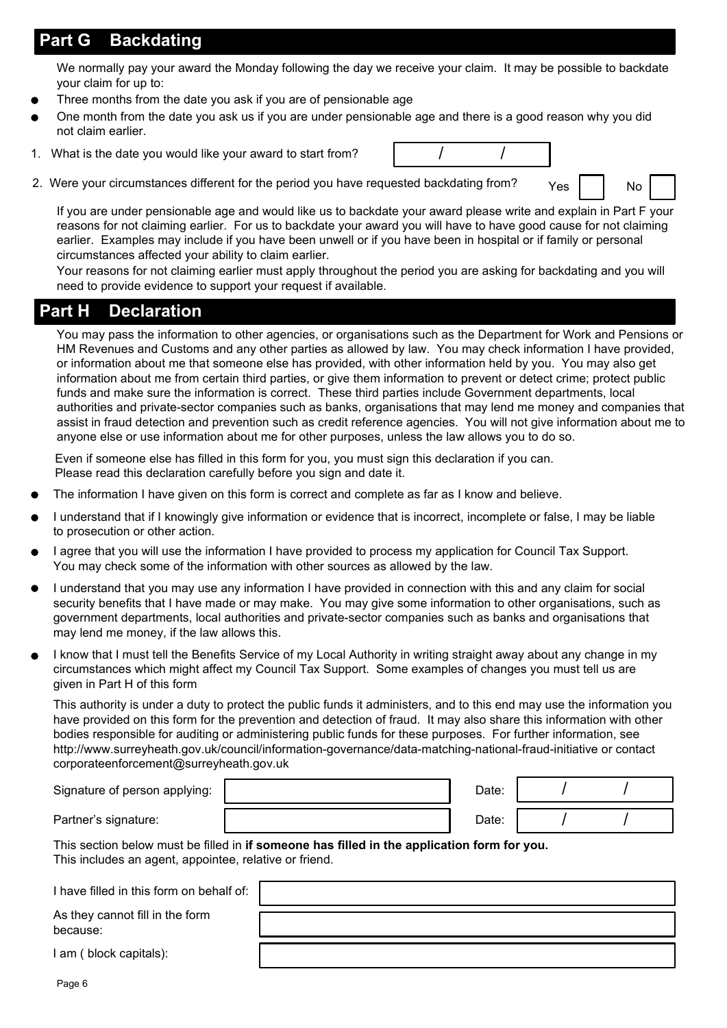## Part G Backdating

We normally pay your award the Monday following the day we receive your claim. It may be possible to backdate your claim for up to:

- Three months from the date you ask if you are of pensionable age
- One month from the date you ask us if you are under pensionable age and there is a good reason why you did not claim earlier.
- 1. What is the date you would like your award to start from?  $\vert$  /
- 2. Were your circumstances different for the period you have requested backdating from?  $Y_{\text{es}}$  | | No

If you are under pensionable age and would like us to backdate your award please write and explain in Part F your reasons for not claiming earlier. For us to backdate your award you will have to have good cause for not claiming earlier. Examples may include if you have been unwell or if you have been in hospital or if family or personal circumstances affected your ability to claim earlier.

Your reasons for not claiming earlier must apply throughout the period you are asking for backdating and you will need to provide evidence to support your request if available.

#### Part H Declaration

You may pass the information to other agencies, or organisations such as the Department for Work and Pensions or HM Revenues and Customs and any other parties as allowed by law. You may check information I have provided, or information about me that someone else has provided, with other information held by you. You may also get information about me from certain third parties, or give them information to prevent or detect crime; protect public funds and make sure the information is correct. These third parties include Government departments, local authorities and private-sector companies such as banks, organisations that may lend me money and companies that assist in fraud detection and prevention such as credit reference agencies. You will not give information about me to anyone else or use information about me for other purposes, unless the law allows you to do so.

Even if someone else has filled in this form for you, you must sign this declaration if you can. Please read this declaration carefully before you sign and date it.

- The information I have given on this form is correct and complete as far as I know and believe.
- I understand that if I knowingly give information or evidence that is incorrect, incomplete or false, I may be liable to prosecution or other action.
- I agree that you will use the information I have provided to process my application for Council Tax Support. You may check some of the information with other sources as allowed by the law.
- I understand that you may use any information I have provided in connection with this and any claim for social security benefits that I have made or may make. You may give some information to other organisations, such as government departments, local authorities and private-sector companies such as banks and organisations that may lend me money, if the law allows this.
- I know that I must tell the Benefits Service of my Local Authority in writing straight away about any change in my circumstances which might affect my Council Tax Support. Some examples of changes you must tell us are given in Part H of this form

This authority is under a duty to protect the public funds it administers, and to this end may use the information you have provided on this form for the prevention and detection of fraud. It may also share this information with other bodies responsible for auditing or administering public funds for these purposes. For further information, see http://www.surreyheath.gov.uk/council/information-governance/data-matching-national-fraud-initiative or contact corporateenforcement@surreyheath.gov.uk

| Signature of person applying: | Date: |  |
|-------------------------------|-------|--|
| Partner's signature:          | Date: |  |

This section below must be filled in if someone has filled in the application form for you. This includes an agent, appointee, relative or friend.

I have filled in this form on behalf of:

As they cannot fill in the form because:

| I am (block capitals): |  |  |  |  |  |
|------------------------|--|--|--|--|--|
|------------------------|--|--|--|--|--|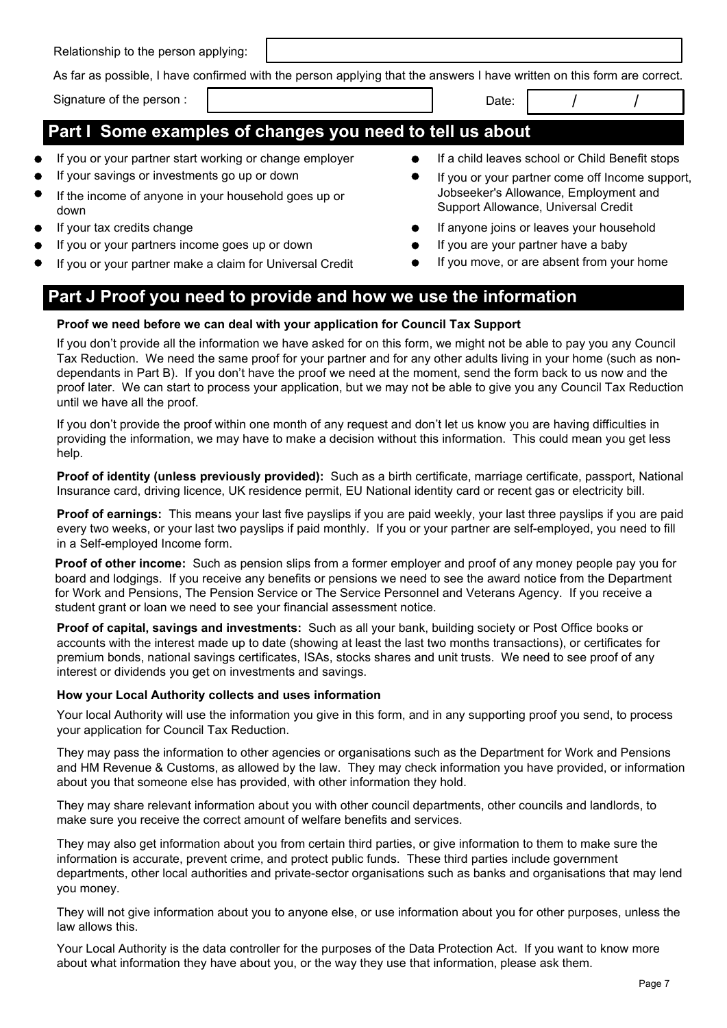Relationship to the person applying:

As far as possible, I have confirmed with the person applying that the answers I have written on this form are correct.

Signature of the person :  $\begin{array}{ccc} \vert & \vert & \vert & \vert \end{array}$ 

## Part I Some examples of changes you need to tell us about

- If you or your partner start working or change employer **If a child leaves school or Child Benefit stops**
- If your savings or investments go up or down
- If the income of anyone in your household goes up or down
- If your tax credits change
- If you or your partners income goes up or down
- If you or your partner make a claim for Universal Credit
- 
- If you or your partner come off Income support, Jobseeker's Allowance, Employment and Support Allowance, Universal Credit
- If anyone joins or leaves your household
- If you are your partner have a baby
- If you move, or are absent from your home

# Part J Proof you need to provide and how we use the information

#### Proof we need before we can deal with your application for Council Tax Support

If you don't provide all the information we have asked for on this form, we might not be able to pay you any Council Tax Reduction. We need the same proof for your partner and for any other adults living in your home (such as nondependants in Part B). If you don't have the proof we need at the moment, send the form back to us now and the proof later. We can start to process your application, but we may not be able to give you any Council Tax Reduction until we have all the proof.

If you don't provide the proof within one month of any request and don't let us know you are having difficulties in providing the information, we may have to make a decision without this information. This could mean you get less help.

Proof of identity (unless previously provided): Such as a birth certificate, marriage certificate, passport, National Insurance card, driving licence, UK residence permit, EU National identity card or recent gas or electricity bill.

Proof of earnings: This means your last five payslips if you are paid weekly, your last three payslips if you are paid every two weeks, or your last two payslips if paid monthly. If you or your partner are self-employed, you need to fill in a Self-employed Income form.

**Proof of other income:** Such as pension slips from a former employer and proof of any money people pay you for board and lodgings. If you receive any benefits or pensions we need to see the award notice from the Department for Work and Pensions, The Pension Service or The Service Personnel and Veterans Agency. If you receive a student grant or loan we need to see your financial assessment notice.

Proof of capital, savings and investments: Such as all your bank, building society or Post Office books or accounts with the interest made up to date (showing at least the last two months transactions), or certificates for premium bonds, national savings certificates, ISAs, stocks shares and unit trusts. We need to see proof of any interest or dividends you get on investments and savings.

#### How your Local Authority collects and uses information

Your local Authority will use the information you give in this form, and in any supporting proof you send, to process your application for Council Tax Reduction.

They may pass the information to other agencies or organisations such as the Department for Work and Pensions and HM Revenue & Customs, as allowed by the law. They may check information you have provided, or information about you that someone else has provided, with other information they hold.

They may share relevant information about you with other council departments, other councils and landlords, to make sure you receive the correct amount of welfare benefits and services.

They may also get information about you from certain third parties, or give information to them to make sure the information is accurate, prevent crime, and protect public funds. These third parties include government departments, other local authorities and private-sector organisations such as banks and organisations that may lend you money.

They will not give information about you to anyone else, or use information about you for other purposes, unless the law allows this.

Your Local Authority is the data controller for the purposes of the Data Protection Act. If you want to know more about what information they have about you, or the way they use that information, please ask them.